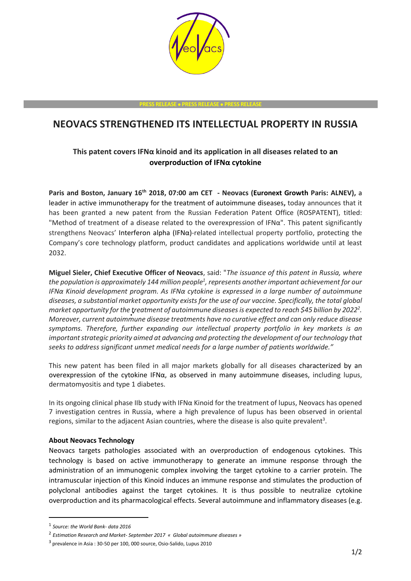

**PRESS RELEASE PRESS RELEASE PRESS RELEASE**

## **NEOVACS STRENGTHENED ITS INTELLECTUAL PROPERTY IN RUSSIA**

## **This patent covers IFNα kinoid and its application in all diseases related to an overproduction of IFNα cytokine**

**Paris and Boston, January 16th 2018, 07:00 am CET - Neovacs (Euronext Growth Paris: ALNEV),** a leader in active immunotherapy for the treatment of autoimmune diseases**,** today announces that it has been granted a new patent from the Russian Federation Patent Office (ROSPATENT), titled: "Method of treatment of a disease related to the overexpression of IFNα". This patent significantly strengthens Neovacs' Interferon alpha (IFNα)-related intellectual property portfolio, protecting the Company's core technology platform, product candidates and applications worldwide until at least 2032.

**Miguel Sieler, Chief Executive Officer of Neovacs**, said: "*The issuance of this patent in Russia, where the population is approximately 144 million people<sup>1</sup> , represents another important achievement for our IFNα Kinoid development program. As IFNα cytokine is expressed in a large number of autoimmune diseases, a substantial market opportunity exists for the use of our vaccine. Specifically, the total global market opportunity for the treatment of autoimmune diseases is expected to reach \$45 billion by 2022<sup>2</sup> . Moreover, current autoimmune disease treatments have no curative effect and can only reduce disease symptoms. Therefore, further expanding our intellectual property portfolio in key markets is an important strategic priority aimed at advancing and protecting the development of our technology that seeks to address significant unmet medical needs for a large number of patients worldwide."*

This new patent has been filed in all major markets globally for all diseases characterized by an overexpression of the cytokine IFNα, as observed in many autoimmune diseases, including lupus, dermatomyositis and type 1 diabetes.

In its ongoing clinical phase IIb study with IFNα Kinoid for the treatment of lupus, Neovacs has opened 7 investigation centres in Russia, where a high prevalence of lupus has been observed in oriental regions, similar to the adjacent Asian countries, where the disease is also quite prevalent<sup>3</sup>.

## **About Neovacs Technology**

Neovacs targets pathologies associated with an overproduction of endogenous cytokines. This technology is based on active immunotherapy to generate an immune response through the administration of an immunogenic complex involving the target cytokine to a carrier protein. The intramuscular injection of this Kinoid induces an immune response and stimulates the production of polyclonal antibodies against the target cytokines. It is thus possible to neutralize cytokine overproduction and its pharmacological effects. Several autoimmune and inflammatory diseases (e.g.

-

<sup>1</sup> *Source: the World Bank- data 2016*

<sup>2</sup> *Estimation Research and Market- September 2017 « Global autoimmune diseases »*

<sup>&</sup>lt;sup>3</sup> prevalence in Asia : 30-50 per 100, 000 source, Osio-Salido, Lupus 2010